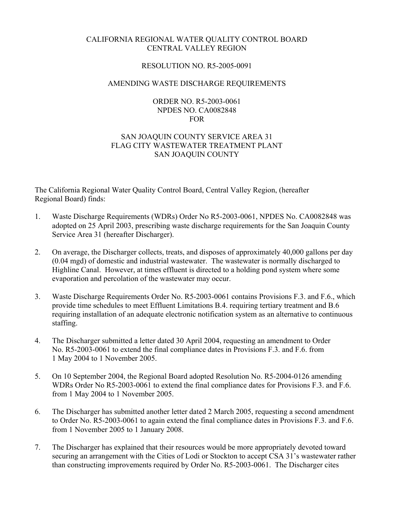## CALIFORNIA REGIONAL WATER QUALITY CONTROL BOARD CENTRAL VALLEY REGION

### RESOLUTION NO. R5-2005-0091

#### AMENDING WASTE DISCHARGE REQUIREMENTS

#### ORDER NO. R5-2003-0061 NPDES NO. CA0082848 FOR

# SAN JOAQUIN COUNTY SERVICE AREA 31 FLAG CITY WASTEWATER TREATMENT PLANT SAN JOAQUIN COUNTY

The California Regional Water Quality Control Board, Central Valley Region, (hereafter Regional Board) finds:

- 1. Waste Discharge Requirements (WDRs) Order No R5-2003-0061, NPDES No. CA0082848 was adopted on 25 April 2003, prescribing waste discharge requirements for the San Joaquin County Service Area 31 (hereafter Discharger).
- 2. On average, the Discharger collects, treats, and disposes of approximately 40,000 gallons per day (0.04 mgd) of domestic and industrial wastewater. The wastewater is normally discharged to Highline Canal. However, at times effluent is directed to a holding pond system where some evaporation and percolation of the wastewater may occur.
- 3. Waste Discharge Requirements Order No. R5-2003-0061 contains Provisions F.3. and F.6., which provide time schedules to meet Effluent Limitations B.4. requiring tertiary treatment and B.6 requiring installation of an adequate electronic notification system as an alternative to continuous staffing.
- 4. The Discharger submitted a letter dated 30 April 2004, requesting an amendment to Order No. R5-2003-0061 to extend the final compliance dates in Provisions F.3. and F.6. from 1 May 2004 to 1 November 2005.
- 5. On 10 September 2004, the Regional Board adopted Resolution No. R5-2004-0126 amending WDRs Order No R5-2003-0061 to extend the final compliance dates for Provisions F.3. and F.6. from 1 May 2004 to 1 November 2005.
- 6. The Discharger has submitted another letter dated 2 March 2005, requesting a second amendment to Order No. R5-2003-0061 to again extend the final compliance dates in Provisions F.3. and F.6. from 1 November 2005 to 1 January 2008.
- 7. The Discharger has explained that their resources would be more appropriately devoted toward securing an arrangement with the Cities of Lodi or Stockton to accept CSA 31's wastewater rather than constructing improvements required by Order No. R5-2003-0061. The Discharger cites